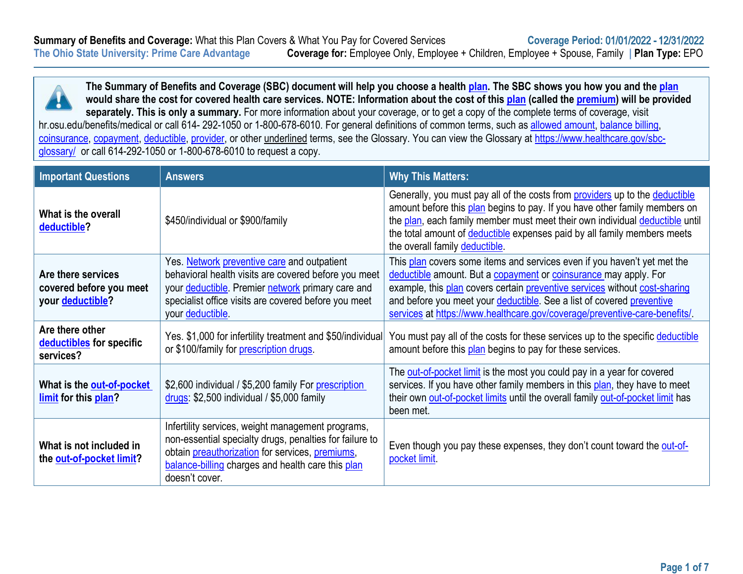

**The Summary of Benefits and Coverage (SBC) document will help you choose a health [plan.](https://www.healthcare.gov/sbc-glossary/#plan) The SBC shows you how you and the [plan](https://www.healthcare.gov/sbc-glossary/#plan) would share the cost for covered health care services. NOTE: Information about the cost of this [plan](https://www.healthcare.gov/sbc-glossary/#plan) (called the [premium\)](https://www.healthcare.gov/sbc-glossary/#premium) will be provided**  separately. This is only a summary. For more information about your coverage, or to get a copy of the complete terms of coverage, visit hr.osu.edu/benefits/medical or call 614- 292-1050 or 1-800-678-6010. For general definitions of common terms, such as [allowed amount,](https://www.healthcare.gov/sbc-glossary/#allowed-amount) [balance billing,](https://www.healthcare.gov/sbc-glossary/#balance-billing) [coinsurance,](https://www.healthcare.gov/sbc-glossary/#coinsurance) [copayment,](https://www.healthcare.gov/sbc-glossary/#copayment) [deductible,](https://www.healthcare.gov/sbc-glossary/#deductible) [provider,](https://www.healthcare.gov/sbc-glossary/#provider) or other underlined terms, see the Glossary. You can view the Glossary at [https://www.healthcare.gov/sbc-](https://www.healthcare.gov/sbc-glossary/)

[glossary/](https://www.healthcare.gov/sbc-glossary/) or call 614-292-1050 or 1-800-678-6010 to request a copy.

| <b>Important Questions</b>                                                                                                                              | <b>Answers</b>                                                                                                                                                                                                                         | <b>Why This Matters:</b>                                                                                                                                                                                                                                                                                                                                                          |  |
|---------------------------------------------------------------------------------------------------------------------------------------------------------|----------------------------------------------------------------------------------------------------------------------------------------------------------------------------------------------------------------------------------------|-----------------------------------------------------------------------------------------------------------------------------------------------------------------------------------------------------------------------------------------------------------------------------------------------------------------------------------------------------------------------------------|--|
| What is the overall<br>\$450/individual or \$900/family<br>deductible?                                                                                  |                                                                                                                                                                                                                                        | Generally, you must pay all of the costs from providers up to the deductible<br>amount before this plan begins to pay. If you have other family members on<br>the plan, each family member must meet their own individual deductible until<br>the total amount of deductible expenses paid by all family members meets<br>the overall family deductible.                          |  |
| Are there services<br>covered before you meet<br>your deductible?                                                                                       | Yes. Network preventive care and outpatient<br>behavioral health visits are covered before you meet<br>your deductible. Premier network primary care and<br>specialist office visits are covered before you meet<br>your deductible.   | This plan covers some items and services even if you haven't yet met the<br>deductible amount. But a copayment or coinsurance may apply. For<br>example, this plan covers certain preventive services without cost-sharing<br>and before you meet your deductible. See a list of covered preventive<br>services at https://www.healthcare.gov/coverage/preventive-care-benefits/. |  |
| Are there other<br>deductibles for specific<br>services?                                                                                                | Yes. \$1,000 for infertility treatment and \$50/individual<br>or \$100/family for prescription drugs.                                                                                                                                  | You must pay all of the costs for these services up to the specific deductible<br>amount before this plan begins to pay for these services.                                                                                                                                                                                                                                       |  |
| \$2,600 individual / \$5,200 family For prescription<br>What is the out-of-pocket<br>drugs: \$2,500 individual / \$5,000 family<br>limit for this plan? |                                                                                                                                                                                                                                        | The out-of-pocket limit is the most you could pay in a year for covered<br>services. If you have other family members in this plan, they have to meet<br>their own out-of-pocket limits until the overall family out-of-pocket limit has<br>been met.                                                                                                                             |  |
| What is not included in<br>the out-of-pocket limit?                                                                                                     | Infertility services, weight management programs,<br>non-essential specialty drugs, penalties for failure to<br>obtain preauthorization for services, premiums,<br>balance-billing charges and health care this plan<br>doesn't cover. | Even though you pay these expenses, they don't count toward the out-of-<br>pocket limit                                                                                                                                                                                                                                                                                           |  |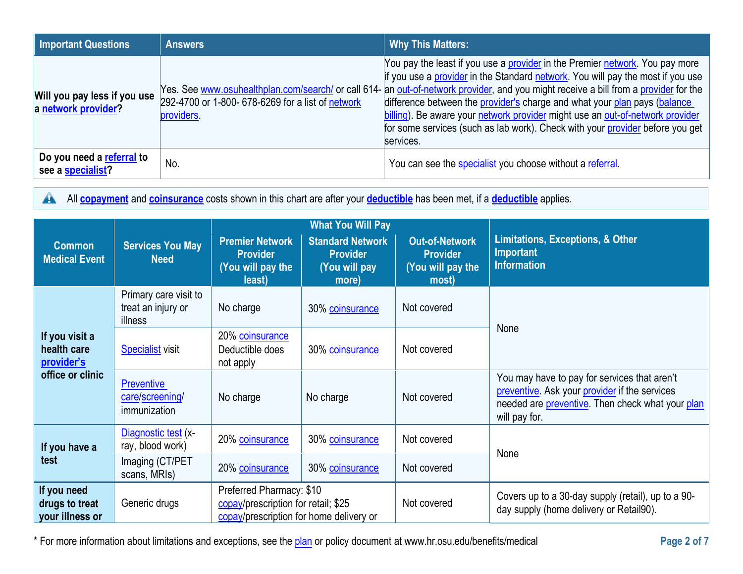| <b>Important Questions</b>                          | <b>Answers</b>                                                  | <b>Why This Matters:</b>                                                                                                                                                                                                                                                                                                                                                                                                                                                                                                                                            |
|-----------------------------------------------------|-----------------------------------------------------------------|---------------------------------------------------------------------------------------------------------------------------------------------------------------------------------------------------------------------------------------------------------------------------------------------------------------------------------------------------------------------------------------------------------------------------------------------------------------------------------------------------------------------------------------------------------------------|
| Will you pay less if you use<br>a network provider? | 292-4700 or 1-800- 678-6269 for a list of network<br>providers. | You pay the least if you use a provider in the Premier network. You pay more<br>if you use a provider in the Standard network. You will pay the most if you use<br>Yes. See www.osuhealthplan.com/search/ or call 614- an out-of-network provider, and you might receive a bill from a provider for the<br>difference between the provider's charge and what your plan pays (balance<br>billing). Be aware your network provider might use an out-of-network provider<br>for some services (such as lab work). Check with your provider before you get<br>services. |
| Do you need a referral to<br>see a specialist?      | No.                                                             | You can see the specialist you choose without a referral.                                                                                                                                                                                                                                                                                                                                                                                                                                                                                                           |

All **[copayment](https://www.healthcare.gov/sbc-glossary/#copayment)** and **[coinsurance](https://www.healthcare.gov/sbc-glossary/#coinsurance)** costs shown in this chart are after your **[deductible](https://www.healthcare.gov/sbc-glossary/#deductible)** has been met, if a **deductible** applies.

|                                                                 |                                                        |                                                                                                            | <b>What You Will Pay</b>                                             |                                                                        |                                                                                                                                                                    |  |
|-----------------------------------------------------------------|--------------------------------------------------------|------------------------------------------------------------------------------------------------------------|----------------------------------------------------------------------|------------------------------------------------------------------------|--------------------------------------------------------------------------------------------------------------------------------------------------------------------|--|
| <b>Common</b><br><b>Medical Event</b>                           | <b>Services You May</b><br><b>Need</b>                 | <b>Premier Network</b><br><b>Provider</b><br>(You will pay the<br>least)                                   | <b>Standard Network</b><br><b>Provider</b><br>(You will pay<br>more) | <b>Out-of-Network</b><br><b>Provider</b><br>(You will pay the<br>most) | <b>Limitations, Exceptions, &amp; Other</b><br><b>Important</b><br><b>Information</b>                                                                              |  |
|                                                                 | Primary care visit to<br>treat an injury or<br>illness | No charge                                                                                                  | 30% coinsurance                                                      | Not covered                                                            |                                                                                                                                                                    |  |
| If you visit a<br>health care<br>provider's<br>office or clinic | <b>Specialist visit</b>                                | 20% coinsurance<br>Deductible does<br>not apply                                                            | 30% coinsurance                                                      | Not covered                                                            | None                                                                                                                                                               |  |
|                                                                 | <b>Preventive</b><br>care/screening/<br>immunization   | No charge                                                                                                  | No charge                                                            | Not covered                                                            | You may have to pay for services that aren't<br>preventive. Ask your provider if the services<br>needed are preventive. Then check what your plan<br>will pay for. |  |
| If you have a<br>test                                           | Diagnostic test (x-<br>ray, blood work)                | 20% coinsurance                                                                                            | 30% coinsurance                                                      | Not covered                                                            | None                                                                                                                                                               |  |
|                                                                 | Imaging (CT/PET<br>scans, MRIs)                        | 20% coinsurance                                                                                            | 30% coinsurance                                                      | Not covered                                                            |                                                                                                                                                                    |  |
| If you need<br>drugs to treat<br>your illness or                | Generic drugs                                          | Preferred Pharmacy: \$10<br>copay/prescription for retail; \$25<br>copay/prescription for home delivery or |                                                                      | Not covered                                                            | Covers up to a 30-day supply (retail), up to a 90-<br>day supply (home delivery or Retail90).                                                                      |  |

\* For more information about limitations and exceptions, see the [plan](https://www.healthcare.gov/sbc-glossary/#plan) or policy document at [www.hr.osu.edu/benefits/medical](http://www.hr.osu.edu/benefits/medical) **Page 2 of 7**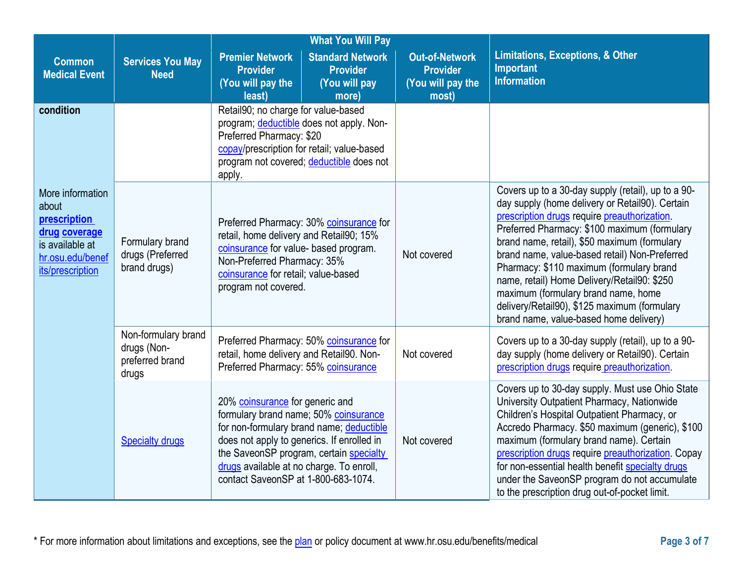|                                                                                                                       |                                                                | <b>What You Will Pay</b>                                                                                                                                                                                                                                                                         |                                                               |                                                                                                                                                                                                                                                                                                                                                                                                                                                                                                                                    |
|-----------------------------------------------------------------------------------------------------------------------|----------------------------------------------------------------|--------------------------------------------------------------------------------------------------------------------------------------------------------------------------------------------------------------------------------------------------------------------------------------------------|---------------------------------------------------------------|------------------------------------------------------------------------------------------------------------------------------------------------------------------------------------------------------------------------------------------------------------------------------------------------------------------------------------------------------------------------------------------------------------------------------------------------------------------------------------------------------------------------------------|
| <b>Common</b><br><b>Medical Event</b>                                                                                 | <b>Services You May</b><br><b>Need</b>                         | <b>Standard Network</b><br><b>Premier Network</b><br><b>Provider</b><br><b>Provider</b><br>(You will pay the<br>(You will pay                                                                                                                                                                    | <b>Out-of-Network</b><br><b>Provider</b><br>(You will pay the | <b>Limitations, Exceptions, &amp; Other</b><br>Important<br><b>Information</b>                                                                                                                                                                                                                                                                                                                                                                                                                                                     |
|                                                                                                                       |                                                                | least)<br>more)                                                                                                                                                                                                                                                                                  | most)                                                         |                                                                                                                                                                                                                                                                                                                                                                                                                                                                                                                                    |
| condition                                                                                                             |                                                                | Retail90; no charge for value-based<br>program; deductible does not apply. Non-<br>Preferred Pharmacy: \$20<br>copay/prescription for retail; value-based<br>program not covered; deductible does not<br>apply.                                                                                  |                                                               |                                                                                                                                                                                                                                                                                                                                                                                                                                                                                                                                    |
| More information<br>about<br>prescription<br>drug coverage<br>is available at<br>hr.osu.edu/benef<br>its/prescription | Formulary brand<br>drugs (Preferred<br>brand drugs)            | Preferred Pharmacy: 30% coinsurance for<br>retail, home delivery and Retail90; 15%<br>coinsurance for value- based program.<br>Non-Preferred Pharmacy: 35%<br>coinsurance for retail; value-based<br>program not covered.                                                                        | Not covered                                                   | Covers up to a 30-day supply (retail), up to a 90-<br>day supply (home delivery or Retail90). Certain<br>prescription drugs require preauthorization.<br>Preferred Pharmacy: \$100 maximum (formulary<br>brand name, retail), \$50 maximum (formulary<br>brand name, value-based retail) Non-Preferred<br>Pharmacy: \$110 maximum (formulary brand<br>name, retail) Home Delivery/Retail90: \$250<br>maximum (formulary brand name, home<br>delivery/Retail90), \$125 maximum (formulary<br>brand name, value-based home delivery) |
|                                                                                                                       | Non-formulary brand<br>drugs (Non-<br>preferred brand<br>drugs | Preferred Pharmacy: 50% coinsurance for<br>retail, home delivery and Retail90. Non-<br>Preferred Pharmacy: 55% coinsurance                                                                                                                                                                       | Not covered                                                   | Covers up to a 30-day supply (retail), up to a 90-<br>day supply (home delivery or Retail90). Certain<br>prescription drugs require preauthorization.                                                                                                                                                                                                                                                                                                                                                                              |
|                                                                                                                       | <b>Specialty drugs</b>                                         | 20% coinsurance for generic and<br>formulary brand name; 50% coinsurance<br>for non-formulary brand name; deductible<br>does not apply to generics. If enrolled in<br>the SaveonSP program, certain specialty<br>drugs available at no charge. To enroll,<br>contact SaveonSP at 1-800-683-1074. | Not covered                                                   | Covers up to 30-day supply. Must use Ohio State<br>University Outpatient Pharmacy, Nationwide<br>Children's Hospital Outpatient Pharmacy, or<br>Accredo Pharmacy. \$50 maximum (generic), \$100<br>maximum (formulary brand name). Certain<br>prescription drugs require preauthorization. Copay<br>for non-essential health benefit specialty drugs<br>under the SaveonSP program do not accumulate<br>to the prescription drug out-of-pocket limit.                                                                              |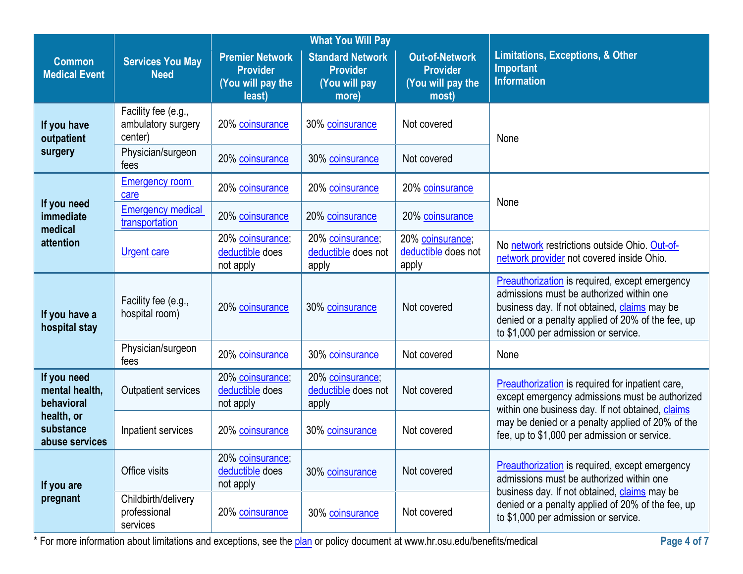| <b>Common</b><br><b>Medical Event</b>                                                                              | <b>Services You May</b><br><b>Need</b>               | <b>Premier Network</b><br><b>Provider</b><br>(You will pay the<br>least) | <b>Standard Network</b><br><b>Provider</b><br>(You will pay<br>more) | <b>Out-of-Network</b><br><b>Provider</b><br>(You will pay the<br>most) | <b>Limitations, Exceptions, &amp; Other</b><br><b>Important</b><br><b>Information</b>                                                                                                                                                                 |
|--------------------------------------------------------------------------------------------------------------------|------------------------------------------------------|--------------------------------------------------------------------------|----------------------------------------------------------------------|------------------------------------------------------------------------|-------------------------------------------------------------------------------------------------------------------------------------------------------------------------------------------------------------------------------------------------------|
| If you have<br>outpatient                                                                                          | Facility fee (e.g.,<br>ambulatory surgery<br>center) | 20% coinsurance                                                          | 30% coinsurance                                                      | Not covered                                                            | None                                                                                                                                                                                                                                                  |
| surgery                                                                                                            | Physician/surgeon<br>fees                            | 20% coinsurance                                                          | 30% coinsurance                                                      | Not covered                                                            |                                                                                                                                                                                                                                                       |
|                                                                                                                    | <b>Emergency room</b><br>care                        | 20% coinsurance                                                          | 20% coinsurance                                                      | 20% coinsurance                                                        | None                                                                                                                                                                                                                                                  |
| If you need<br>immediate<br>medical                                                                                | <b>Emergency medical</b><br>transportation           | 20% coinsurance                                                          | 20% coinsurance                                                      | 20% coinsurance                                                        |                                                                                                                                                                                                                                                       |
| attention                                                                                                          | <b>Urgent care</b>                                   | 20% coinsurance;<br>deductible does<br>not apply                         | 20% coinsurance;<br>deductible does not<br>apply                     | 20% coinsurance;<br>deductible does not<br>apply                       | No network restrictions outside Ohio. Out-of-<br>network provider not covered inside Ohio.                                                                                                                                                            |
| If you have a<br>hospital stay                                                                                     | Facility fee (e.g.,<br>hospital room)                | 20% coinsurance                                                          | 30% coinsurance                                                      | Not covered                                                            | <b>Preauthorization</b> is required, except emergency<br>admissions must be authorized within one<br>business day. If not obtained, <i>claims</i> may be<br>denied or a penalty applied of 20% of the fee, up<br>to \$1,000 per admission or service. |
|                                                                                                                    | Physician/surgeon<br>fees                            | 20% coinsurance                                                          | 30% coinsurance                                                      | Not covered                                                            | None                                                                                                                                                                                                                                                  |
| If you need<br>mental health,<br>behavioral<br>health, or<br>substance<br>abuse services<br>If you are<br>pregnant | <b>Outpatient services</b>                           | 20% coinsurance;<br>deductible does<br>not apply                         | 20% coinsurance;<br>deductible does not<br>apply                     | Not covered                                                            | Preauthorization is required for inpatient care,<br>except emergency admissions must be authorized<br>within one business day. If not obtained, claims                                                                                                |
|                                                                                                                    | Inpatient services                                   | 20% coinsurance                                                          | 30% coinsurance                                                      | Not covered                                                            | may be denied or a penalty applied of 20% of the<br>fee, up to \$1,000 per admission or service.                                                                                                                                                      |
|                                                                                                                    | Office visits                                        | 20% coinsurance;<br>deductible does<br>not apply                         | 30% coinsurance                                                      | Not covered                                                            | <b>Preauthorization</b> is required, except emergency<br>admissions must be authorized within one                                                                                                                                                     |
|                                                                                                                    | Childbirth/delivery<br>professional<br>services      | 20% coinsurance                                                          | 30% coinsurance                                                      | Not covered                                                            | business day. If not obtained, claims may be<br>denied or a penalty applied of 20% of the fee, up<br>to \$1,000 per admission or service.                                                                                                             |

\* For more information about limitations and exceptions, see the plan or policy document at www.hr.osu.edu/benefits/medical **Page 4 of 7**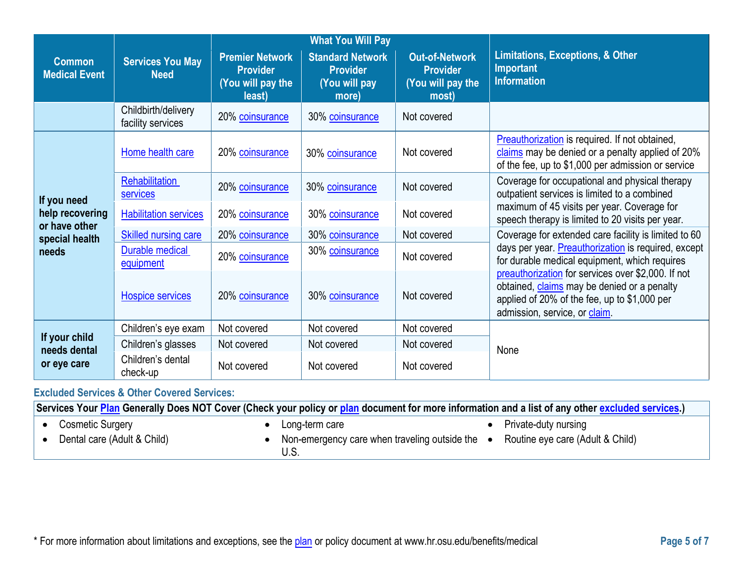|                                       |                                          |                                                                          | <b>What You Will Pay</b>                                             |                                                                        |                                                                                                                                                                                    |
|---------------------------------------|------------------------------------------|--------------------------------------------------------------------------|----------------------------------------------------------------------|------------------------------------------------------------------------|------------------------------------------------------------------------------------------------------------------------------------------------------------------------------------|
| <b>Common</b><br><b>Medical Event</b> | <b>Services You May</b><br><b>Need</b>   | <b>Premier Network</b><br><b>Provider</b><br>(You will pay the<br>least) | <b>Standard Network</b><br><b>Provider</b><br>(You will pay<br>more) | <b>Out-of-Network</b><br><b>Provider</b><br>(You will pay the<br>most) | <b>Limitations, Exceptions, &amp; Other</b><br><b>Important</b><br><b>Information</b>                                                                                              |
|                                       | Childbirth/delivery<br>facility services | 20% coinsurance                                                          | 30% coinsurance                                                      | Not covered                                                            |                                                                                                                                                                                    |
| If you need                           | Home health care                         | 20% coinsurance                                                          | 30% coinsurance                                                      | Not covered                                                            | <b>Preauthorization</b> is required. If not obtained,<br>claims may be denied or a penalty applied of 20%<br>of the fee, up to \$1,000 per admission or service                    |
|                                       | Rehabilitation<br><b>services</b>        | 20% coinsurance                                                          | 30% coinsurance                                                      | Not covered                                                            | Coverage for occupational and physical therapy<br>outpatient services is limited to a combined                                                                                     |
| help recovering<br>or have other      | <b>Habilitation services</b>             | 20% coinsurance                                                          | 30% coinsurance                                                      | Not covered                                                            | maximum of 45 visits per year. Coverage for<br>speech therapy is limited to 20 visits per year.                                                                                    |
| special health                        | <b>Skilled nursing care</b>              | 20% coinsurance                                                          | 30% coinsurance                                                      | Not covered                                                            | Coverage for extended care facility is limited to 60                                                                                                                               |
| needs                                 | Durable medical<br>equipment             | 20% coinsurance                                                          | 30% coinsurance                                                      | Not covered                                                            | days per year. Preauthorization is required, except<br>for durable medical equipment, which requires                                                                               |
|                                       | <b>Hospice services</b>                  | 20% coinsurance                                                          | 30% coinsurance                                                      | Not covered                                                            | preauthorization for services over \$2,000. If not<br>obtained, claims may be denied or a penalty<br>applied of 20% of the fee, up to \$1,000 per<br>admission, service, or claim. |
|                                       | Children's eye exam                      | Not covered                                                              | Not covered                                                          | Not covered                                                            |                                                                                                                                                                                    |
| If your child<br>needs dental         | Children's glasses                       | Not covered                                                              | Not covered                                                          | Not covered                                                            | None                                                                                                                                                                               |
| or eye care                           | Children's dental<br>check-up            | Not covered                                                              | Not covered                                                          | Not covered                                                            |                                                                                                                                                                                    |

**Excluded Services & Other Covered Services:** 

**Services Your [Plan](https://www.healthcare.gov/sbc-glossary/#plan) Generally Does NOT Cover (Check your policy or [plan](https://www.healthcare.gov/sbc-glossary/#plan) document for more information and a list of any other [excluded services.](https://www.healthcare.gov/sbc-glossary/#excluded-services))**

• Cosmetic Surgery

• Dental care (Adult & Child)

- Long-term care
- Non-emergency care when traveling outside the U.S.
- Private-duty nursing
- Routine eye care (Adult & Child)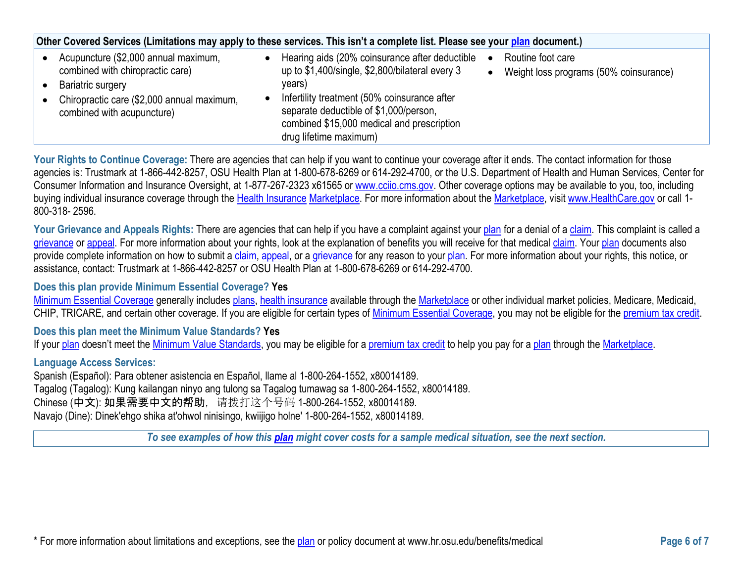| Other Covered Services (Limitations may apply to these services. This isn't a complete list. Please see your plan document.)                                              |  |                                                                                                                                                                                                                                                                               |           |                                                             |  |  |
|---------------------------------------------------------------------------------------------------------------------------------------------------------------------------|--|-------------------------------------------------------------------------------------------------------------------------------------------------------------------------------------------------------------------------------------------------------------------------------|-----------|-------------------------------------------------------------|--|--|
| Acupuncture (\$2,000 annual maximum,<br>combined with chiropractic care)<br>Bariatric surgery<br>Chiropractic care (\$2,000 annual maximum,<br>combined with acupuncture) |  | Hearing aids (20% coinsurance after deductible<br>up to \$1,400/single, \$2,800/bilateral every 3<br>years)<br>Infertility treatment (50% coinsurance after<br>separate deductible of \$1,000/person,<br>combined \$15,000 medical and prescription<br>drug lifetime maximum) | $\bullet$ | Routine foot care<br>Weight loss programs (50% coinsurance) |  |  |

Your Rights to Continue Coverage: There are agencies that can help if you want to continue your coverage after it ends. The contact information for those agencies is: Trustmark at 1-866-442-8257, OSU Health Plan at 1-800-678-6269 or 614-292-4700, or the U.S. Department of Health and Human Services, Center for Consumer Information and Insurance Oversight, at 1-877-267-2323 x61565 or www.cciio.cms.gov. Other coverage options may be available to you, too, including buying individual insurance coverage through the [Health Insurance](https://www.healthcare.gov/sbc-glossary/#health-insurance) Marketplace. For more information about th[e Marketplace,](https://www.healthcare.gov/sbc-glossary/#marketplace) visit [www.HealthCare.gov](http://www.healthcare.gov/) or call 1-800-318- 2596.

Your Grievance and Appeals Rights: There are agencies that can help if you have a complaint against your [plan](https://www.healthcare.gov/sbc-glossary/#plan) for a denial of a [claim.](https://www.healthcare.gov/sbc-glossary/#claim) This complaint is called a [grievance](https://www.healthcare.gov/sbc-glossary/#grievance) or [appeal.](https://www.healthcare.gov/sbc-glossary/#appeal) For more information about your rights, look at the explanation of benefits you will receive for that medical [claim.](https://www.healthcare.gov/sbc-glossary/#claim) Your [plan](https://www.healthcare.gov/sbc-glossary/#plan) documents also provide complete information on how to submit a [claim,](https://www.healthcare.gov/sbc-glossary/#claim) [appeal,](https://www.healthcare.gov/sbc-glossary/#appeal) or a [grievance](https://www.healthcare.gov/sbc-glossary/#grievance) for any reason to your [plan.](https://www.healthcare.gov/sbc-glossary/#plan) For more information about your rights, this notice, or assistance, contact: Trustmark at 1-866-442-8257 or OSU Health Plan at 1-800-678-6269 or 614-292-4700.

**Does this plan provide Minimum Essential Coverage? Yes**

[Minimum Essential Coverage g](https://www.healthcare.gov/sbc-glossary/#minimum-essential-coverage)enerally includes [plans,](https://www.healthcare.gov/sbc-glossary/#plan) [health insurance](https://www.healthcare.gov/sbc-glossary/#health-insurance) available through the [Marketplace](https://www.healthcare.gov/sbc-glossary/#marketplace) or other individual market policies, Medicare, Medicaid, CHIP, TRICARE, and certain other coverage. If you are eligible for certain types of [Minimum Essential Coverage,](https://www.healthcare.gov/sbc-glossary/#minimum-essential-coverage) you may not be eligible for the [premium tax credit.](https://www.healthcare.gov/sbc-glossary/#premium-tax-credits)

**Does this plan meet the Minimum Value Standards? Yes**

If your [plan](https://www.healthcare.gov/sbc-glossary/#plan) doesn't meet the [Minimum Value Standards,](https://www.healthcare.gov/sbc-glossary/#minimum-value-standard) you may be eligible for a [premium tax credit](https://www.healthcare.gov/sbc-glossary/#premium-tax-credits) to help you pay for a plan through the [Marketplace.](https://www.healthcare.gov/sbc-glossary/#marketplace)

**Language Access Services:**

Spanish (Español): Para obtener asistencia en Español, llame al 1-800-264-1552, x80014189. Tagalog (Tagalog): Kung kailangan ninyo ang tulong sa Tagalog tumawag sa 1-800-264-1552, x80014189. Chinese (中文): 如果需要中文的帮助, 请拨打这个号码 1-800-264-1552, x80014189. Navajo (Dine): Dinek'ehgo shika at'ohwol ninisingo, kwiijigo holne' 1-800-264-1552, x80014189.

*To see examples of how this [plan](https://www.healthcare.gov/sbc-glossary/#plan) might cover costs for a sample medical situation, see the next section.*